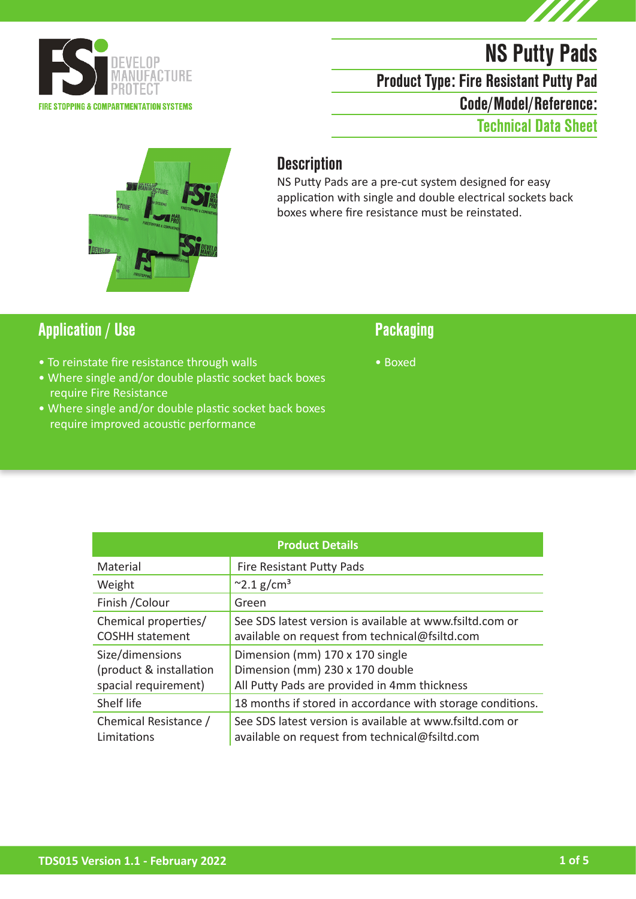

# NS Putty Pads

Product Type: Fire Resistant Putty Pad

Code/Model/Reference:

Technical Data Sheet



### **Description**

NS Putty Pads are a pre-cut system designed for easy application with single and double electrical sockets back boxes where fire resistance must be reinstated.

### Application / Use Packaging

- To reinstate fire resistance through walls
- Where single and/or double plastic socket back boxes require Fire Resistance
- Where single and/or double plastic socket back boxes require improved acoustic performance

• Boxed

| <b>Product Details</b>                                             |                                                                                                                    |  |
|--------------------------------------------------------------------|--------------------------------------------------------------------------------------------------------------------|--|
| Material                                                           | Fire Resistant Putty Pads                                                                                          |  |
| Weight                                                             | $^{\sim}$ 2.1 g/cm <sup>3</sup>                                                                                    |  |
| Finish / Colour                                                    | Green                                                                                                              |  |
| Chemical properties/<br><b>COSHH statement</b>                     | See SDS latest version is available at www.fsiltd.com or<br>available on request from technical@fsiltd.com         |  |
| Size/dimensions<br>(product & installation<br>spacial requirement) | Dimension (mm) 170 x 170 single<br>Dimension (mm) 230 x 170 double<br>All Putty Pads are provided in 4mm thickness |  |
| Shelf life                                                         | 18 months if stored in accordance with storage conditions.                                                         |  |
| Chemical Resistance /<br>Limitations                               | See SDS latest version is available at www.fsiltd.com or<br>available on request from technical@fsiltd.com         |  |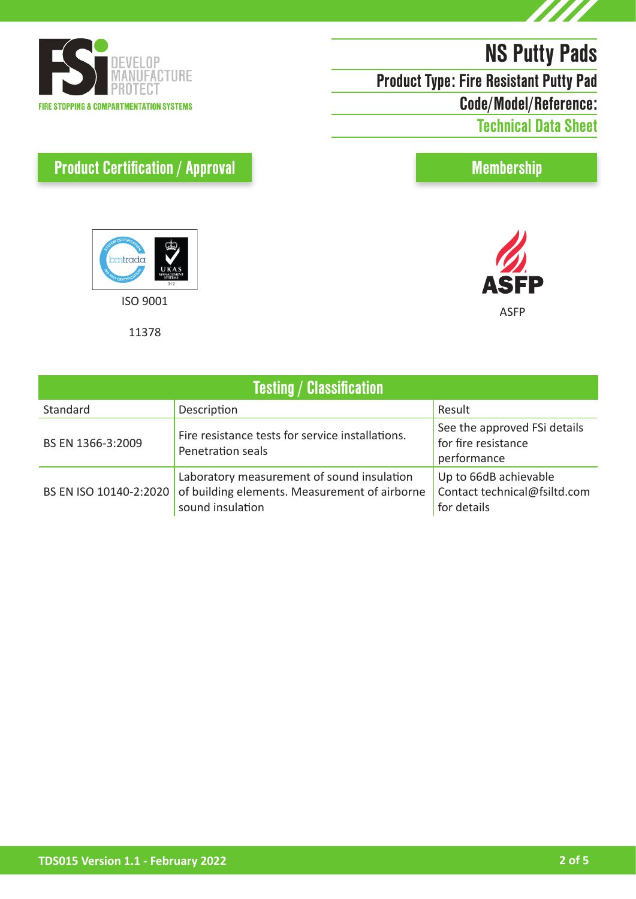

Product Type: Fire Resistant Putty Pad

Code/Model/Reference:

Technical Data Sheet

Membership





# Product Certification / Approval



11378

| <b>Testing / Classification</b> |                                                                                                                 |                                                                      |  |
|---------------------------------|-----------------------------------------------------------------------------------------------------------------|----------------------------------------------------------------------|--|
| Standard                        | Description                                                                                                     | Result                                                               |  |
| BS EN 1366-3:2009               | Fire resistance tests for service installations.<br>Penetration seals                                           | See the approved FSi details<br>for fire resistance<br>performance   |  |
| BS EN ISO 10140-2:2020          | Laboratory measurement of sound insulation<br>of building elements. Measurement of airborne<br>sound insulation | Up to 66dB achievable<br>Contact technical@fsiltd.com<br>for details |  |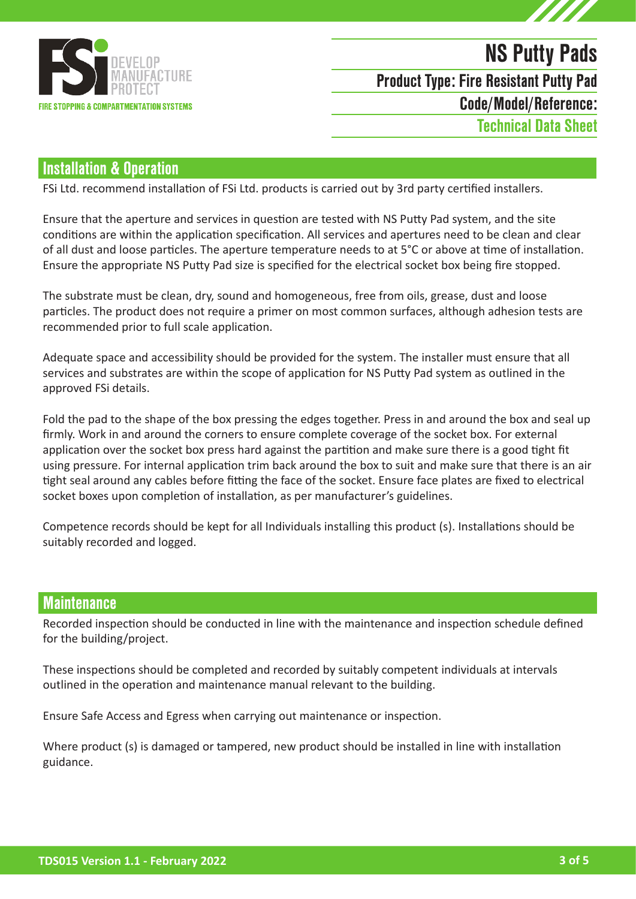

# NS Putty Pads Code/Model/Reference: Product Type: Fire Resistant Putty Pad Technical Data Sheet

### Installation & Operation

FSi Ltd. recommend installation of FSi Ltd. products is carried out by 3rd party certified installers.

Ensure that the aperture and services in question are tested with NS Putty Pad system, and the site conditions are within the application specification. All services and apertures need to be clean and clear of all dust and loose particles. The aperture temperature needs to at 5°C or above at time of installation. Ensure the appropriate NS Putty Pad size is specified for the electrical socket box being fire stopped.

The substrate must be clean, dry, sound and homogeneous, free from oils, grease, dust and loose particles. The product does not require a primer on most common surfaces, although adhesion tests are recommended prior to full scale application.

Adequate space and accessibility should be provided for the system. The installer must ensure that all services and substrates are within the scope of application for NS Putty Pad system as outlined in the approved FSi details.

Fold the pad to the shape of the box pressing the edges together. Press in and around the box and seal up firmly. Work in and around the corners to ensure complete coverage of the socket box. For external application over the socket box press hard against the partition and make sure there is a good tight fit using pressure. For internal application trim back around the box to suit and make sure that there is an air tight seal around any cables before fitting the face of the socket. Ensure face plates are fixed to electrical socket boxes upon completion of installation, as per manufacturer's guidelines.

Competence records should be kept for all Individuals installing this product (s). Installations should be suitably recorded and logged.

#### **Maintenance**

Recorded inspection should be conducted in line with the maintenance and inspection schedule defined for the building/project.

These inspections should be completed and recorded by suitably competent individuals at intervals outlined in the operation and maintenance manual relevant to the building.

Ensure Safe Access and Egress when carrying out maintenance or inspection.

Where product (s) is damaged or tampered, new product should be installed in line with installation guidance.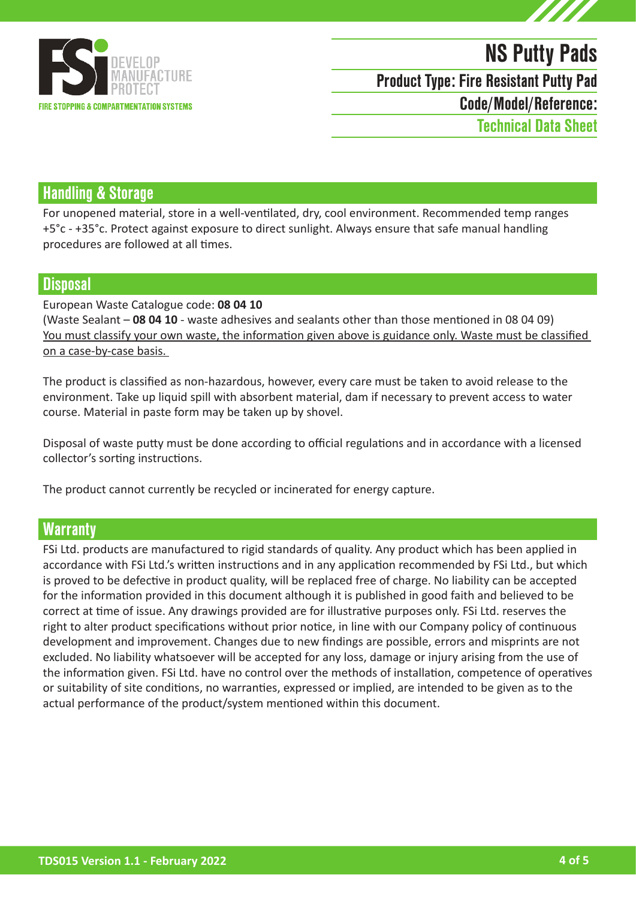

# NS Putty Pads

Product Type: Fire Resistant Putty Pad

Code/Model/Reference:

Technical Data Sheet

### Handling & Storage

For unopened material, store in a well-ventilated, dry, cool environment. Recommended temp ranges +5°c - +35°c. Protect against exposure to direct sunlight. Always ensure that safe manual handling procedures are followed at all times.

### **Disposal**

#### European Waste Catalogue code: **08 04 10**

(Waste Sealant – **08 04 10** - waste adhesives and sealants other than those mentioned in 08 04 09) You must classify your own waste, the information given above is guidance only. Waste must be classified on a case-by-case basis.

The product is classified as non-hazardous, however, every care must be taken to avoid release to the environment. Take up liquid spill with absorbent material, dam if necessary to prevent access to water course. Material in paste form may be taken up by shovel.

Disposal of waste putty must be done according to official regulations and in accordance with a licensed collector's sorting instructions.

The product cannot currently be recycled or incinerated for energy capture.

### **Warranty**

FSi Ltd. products are manufactured to rigid standards of quality. Any product which has been applied in accordance with FSi Ltd.'s written instructions and in any application recommended by FSi Ltd., but which is proved to be defective in product quality, will be replaced free of charge. No liability can be accepted for the information provided in this document although it is published in good faith and believed to be correct at time of issue. Any drawings provided are for illustrative purposes only. FSi Ltd. reserves the right to alter product specifications without prior notice, in line with our Company policy of continuous development and improvement. Changes due to new findings are possible, errors and misprints are not excluded. No liability whatsoever will be accepted for any loss, damage or injury arising from the use of the information given. FSi Ltd. have no control over the methods of installation, competence of operatives or suitability of site conditions, no warranties, expressed or implied, are intended to be given as to the actual performance of the product/system mentioned within this document.